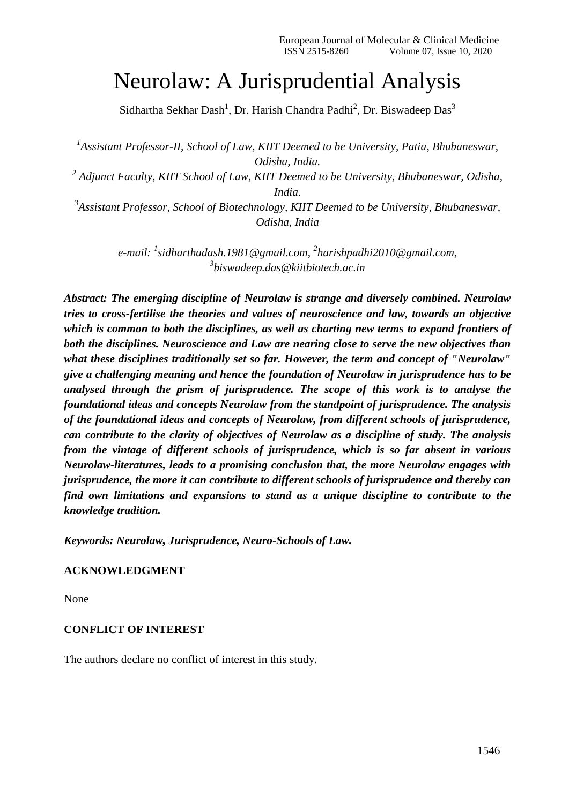# Neurolaw: A Jurisprudential Analysis

Sidhartha Sekhar Dash<sup>1</sup>, Dr. Harish Chandra Padhi<sup>2</sup>, Dr. Biswadeep Das<sup>3</sup>

<sup>1</sup> Assistant Professor-II, School of Law, KIIT Deemed to be University, Patia, Bhubaneswar, *Odisha, India.*

*2 Adjunct Faculty, KIIT School of Law, KIIT Deemed to be University, Bhubaneswar, Odisha, India.*

*3 Assistant Professor, School of Biotechnology, KIIT Deemed to be University, Bhubaneswar, Odisha, India*

> *e-mail: <sup>1</sup> [sidharthadash.1981@gmail.com,](mailto:sidharthadash.1981@gmail.com) 2 [harishpadhi2010@gmail.com](mailto:harishpadhi2010@gmail.com)[,](mailto:3biswadeep.das@kiitbiotech.ac.in) 3 [biswadeep.das@kiitbiotech.ac.in](mailto:3biswadeep.das@kiitbiotech.ac.in)*

*Abstract: The emerging discipline of Neurolaw is strange and diversely combined. Neurolaw tries to cross-fertilise the theories and values of neuroscience and law, towards an objective which is common to both the disciplines, as well as charting new terms to expand frontiers of both the disciplines. Neuroscience and Law are nearing close to serve the new objectives than what these disciplines traditionally set so far. However, the term and concept of "Neurolaw" give a challenging meaning and hence the foundation of Neurolaw in jurisprudence has to be analysed through the prism of jurisprudence. The scope of this work is to analyse the foundational ideas and concepts Neurolaw from the standpoint of jurisprudence. The analysis of the foundational ideas and concepts of Neurolaw, from different schools of jurisprudence, can contribute to the clarity of objectives of Neurolaw as a discipline of study. The analysis from the vintage of different schools of jurisprudence, which is so far absent in various Neurolaw-literatures, leads to a promising conclusion that, the more Neurolaw engages with jurisprudence, the more it can contribute to different schools of jurisprudence and thereby can find own limitations and expansions to stand as a unique discipline to contribute to the knowledge tradition.*

*Keywords: Neurolaw, Jurisprudence, Neuro-Schools of Law.*

# **ACKNOWLEDGMENT**

None

# **CONFLICT OF INTEREST**

The authors declare no conflict of interest in this study.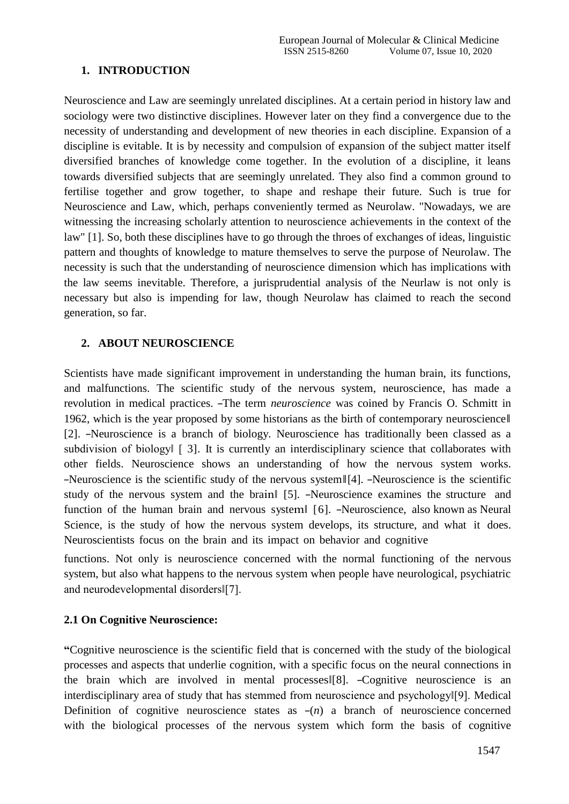# **1. INTRODUCTION**

Neuroscience and Law are seemingly unrelated disciplines. At a certain period in history law and sociology were two distinctive disciplines. However later on they find a convergence due to the necessity of understanding and development of new theories in each discipline. Expansion of a discipline is evitable. It is by necessity and compulsion of expansion of the subject matter itself diversified branches of knowledge come together. In the evolution of a discipline, it leans towards diversified subjects that are seemingly unrelated. They also find a common ground to fertilise together and grow together, to shape and reshape their future. Such is true for Neuroscience and Law, which, perhaps conveniently termed as Neurolaw. "Nowadays, we are witnessing the increasing scholarly attention to neuroscience achievements in the context of the law" [1]. So, both these disciplines have to go through the throes of exchanges of ideas, linguistic pattern and thoughts of knowledge to mature themselves to serve the purpose of Neurolaw. The necessity is such that the understanding of neuroscience dimension which has implications with the law seems inevitable. Therefore, a jurisprudential analysis of the Neurlaw is not only is necessary but also is impending for law, though Neurolaw has claimed to reach the second generation, so far.

# **2. ABOUT NEUROSCIENCE**

Scientists have made significant improvement in understanding the human brain, its functions, and malfunctions. The scientific study of the nervous system, neuroscience, has made a revolution in medical practices. ―The term *neuroscience* was coined by Francis O. Schmitt in 1962, which is the year proposed by some historians as the birth of contemporary neuroscience‖ [2]. –Neuroscience is a branch of biology. Neuroscience has traditionally been classed as a subdivision of biology‖ [ 3]. It is currently an interdisciplinary science that collaborates with other fields. Neuroscience shows an understanding of how the nervous system works. ―Neuroscience is the scientific study of the nervous system‖[4]. ―Neuroscience is the scientific study of the nervous system and the brain‖ [5]. ―Neuroscience examines the structure and function of the human brain and nervous system [6]. –Neuroscience, also known as Neural Science, is the study of how the nervous system develops, its structure, and what it does. Neuroscientists focus on the brain and its impact on behavior and cognitive

functions. Not only is neuroscience concerned with the normal functioning of the nervous system, but also what happens to the nervous system when people have neurological, psychiatric and neurodevelopmental disorders‖[7].

# **2.1 On Cognitive Neuroscience:**

**"**Cognitive neuroscience is the scientific field that is concerned with the study of the biological processes and aspects that underlie cognition, with a specific focus on the neural connections in the brain which are involved in mental processes‖[8]. ―Cognitive neuroscience is an interdisciplinary area of study that has stemmed from neuroscience and psychology‖[9]. Medical Definition of cognitive neuroscience states as  $-(n)$  a branch of neuroscience concerned with the biological processes of the nervous system which form the basis of cognitive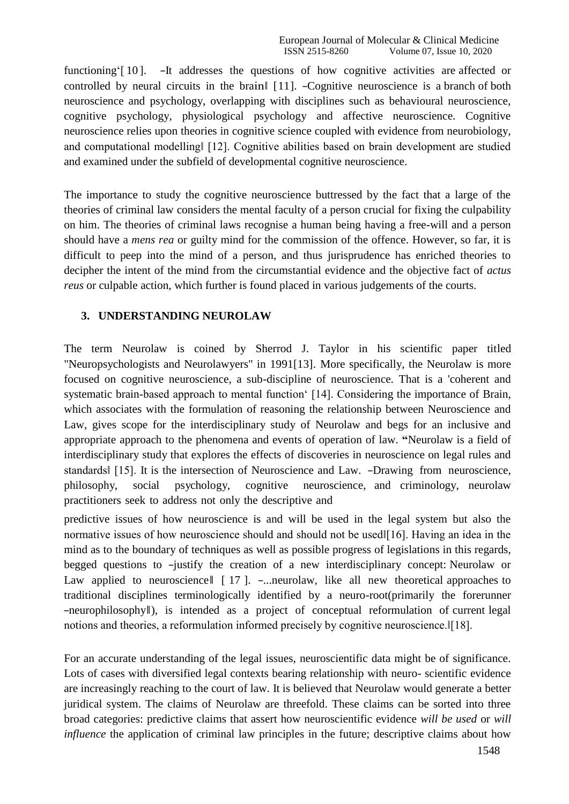functioning'[10]. –It addresses the questions of how cognitive activities are affected or controlled by neural circuits in the brain [11]. -Cognitive neuroscience is a branch of both neuroscience and psychology, overlapping with disciplines such as behavioural neuroscience, cognitive psychology, physiological psychology and affective neuroscience. Cognitive neuroscience relies upon theories in cognitive science coupled with evidence from neurobiology, and computational modelling‖ [12]. Cognitive abilities based on brain development are studied and examined under the subfield of developmental cognitive neuroscience.

The importance to study the cognitive neuroscience buttressed by the fact that a large of the theories of criminal law considers the mental faculty of a person crucial for fixing the culpability on him. The theories of criminal laws recognise a human being having a free-will and a person should have a *mens rea* or guilty mind for the commission of the offence. However, so far, it is difficult to peep into the mind of a person, and thus jurisprudence has enriched theories to decipher the intent of the mind from the circumstantial evidence and the objective fact of *actus reus* or culpable action, which further is found placed in various judgements of the courts.

# **3. UNDERSTANDING NEUROLAW**

The term Neurolaw is coined by Sherrod J. Taylor in his scientific paper titled "Neuropsychologists and Neurolawyers" in 1991[13]. More specifically, the Neurolaw is more focused on cognitive neuroscience, a sub-discipline of neuroscience. That is a 'coherent and systematic brain-based approach to mental function' [14]. Considering the importance of Brain, which associates with the formulation of reasoning the relationship between Neuroscience and Law, gives scope for the interdisciplinary study of Neurolaw and begs for an inclusive and appropriate approach to the phenomena and events of operation of law. **"**Neurolaw is a field of interdisciplinary study that explores the effects of discoveries in neuroscience on legal rules and standards‖ [15]. It is the intersection of Neuroscience and Law. ―Drawing from neuroscience, philosophy, social psychology, cognitive neuroscience, and criminology, neurolaw practitioners seek to address not only the descriptive and

predictive issues of how neuroscience is and will be used in the legal system but also the normative issues of how neuroscience should and should not be used‖[16]. Having an idea in the mind as to the boundary of techniques as well as possible progress of legislations in this regards, begged questions to ―justify the creation of a new interdisciplinary concept: Neurolaw or Law applied to neuroscience [ 17]. –...neurolaw, like all new theoretical approaches to traditional disciplines terminologically identified by a neuro-root(primarily the forerunner ―neurophilosophy‖), is intended as a project of conceptual reformulation of current legal notions and theories, a reformulation informed precisely by cognitive neuroscience. [18].

For an accurate understanding of the legal issues, neuroscientific data might be of significance. Lots of cases with diversified legal contexts bearing relationship with neuro- scientific evidence are increasingly reaching to the court of law. It is believed that Neurolaw would generate a better juridical system. The claims of Neurolaw are threefold. These claims can be sorted into three broad categories: predictive claims that assert how neuroscientific evidence *will be used* or *will influence* the application of criminal law principles in the future; descriptive claims about how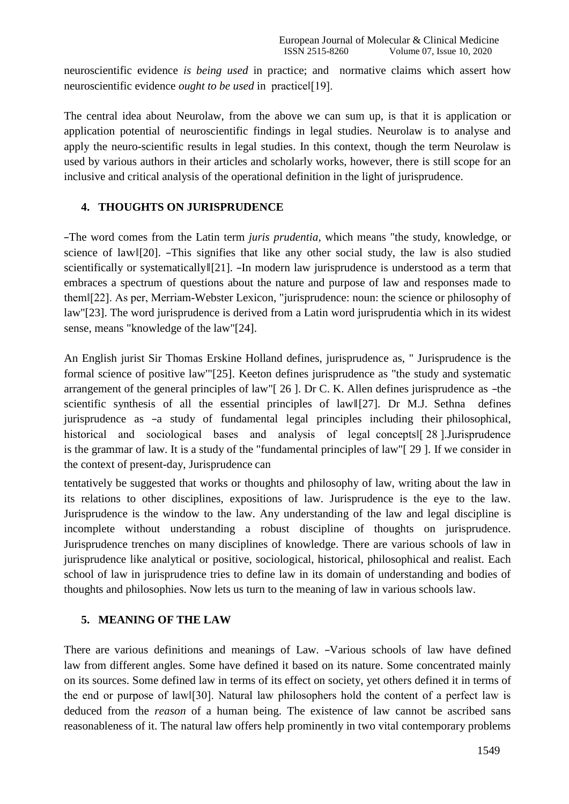neuroscientific evidence *is being used* in practice; and normative claims which assert how neuroscientific evidence *ought to be used* in practice‖[19].

The central idea about Neurolaw, from the above we can sum up, is that it is application or application potential of neuroscientific findings in legal studies. Neurolaw is to analyse and apply the neuro-scientific results in legal studies. In this context, though the term Neurolaw is used by various authors in their articles and scholarly works, however, there is still scope for an inclusive and critical analysis of the operational definition in the light of jurisprudence.

# **4. THOUGHTS ON JURISPRUDENCE**

―The word comes from the Latin term *juris prudentia*, which means "the study, knowledge, or science of law‖[20]. ―This signifies that like any other social study, the law is also studied scientifically or systematically‖[21]. ―In modern law jurisprudence is understood as a term that embraces a spectrum of questions about the nature and purpose of law and responses made to them‖[22]. As per, Merriam-Webster Lexicon, "jurisprudence: noun: the science or philosophy of law"[23]. The word jurisprudence is derived from a Latin word jurisprudentia which in its widest sense, means "knowledge of the law"[24].

An English jurist Sir Thomas Erskine Holland defines, jurisprudence as, " Jurisprudence is the formal science of positive law'"[25]. Keeton defines jurisprudence as "the study and systematic arrangement of the general principles of law"[ 26 ]. Dr C. K. Allen defines jurisprudence as ―the scientific synthesis of all the essential principles of law‖[27]. Dr M.J. Sethna defines jurisprudence as ―a study of fundamental legal principles including their philosophical, historical and sociological bases and analysis of legal concepts‖[ 28 ].Jurisprudence is the grammar of law. It is a study of the "fundamental principles of law"[ 29 ]. If we consider in the context of present-day, Jurisprudence can

tentatively be suggested that works or thoughts and philosophy of law, writing about the law in its relations to other disciplines, expositions of law. Jurisprudence is the eye to the law. Jurisprudence is the window to the law. Any understanding of the law and legal discipline is incomplete without understanding a robust discipline of thoughts on jurisprudence. Jurisprudence trenches on many disciplines of knowledge. There are various schools of law in jurisprudence like analytical or positive, sociological, historical, philosophical and realist. Each school of law in jurisprudence tries to define law in its domain of understanding and bodies of thoughts and philosophies. Now lets us turn to the meaning of law in various schools law.

# **5. MEANING OF THE LAW**

There are various definitions and meanings of Law. ―Various schools of law have defined law from different angles. Some have defined it based on its nature. Some concentrated mainly on its sources. Some defined law in terms of its effect on society, yet others defined it in terms of the end or purpose of law‖[30]. Natural law philosophers hold the content of a perfect law is deduced from the *reason* of a human being. The existence of law cannot be ascribed sans reasonableness of it. The natural law offers help prominently in two vital contemporary problems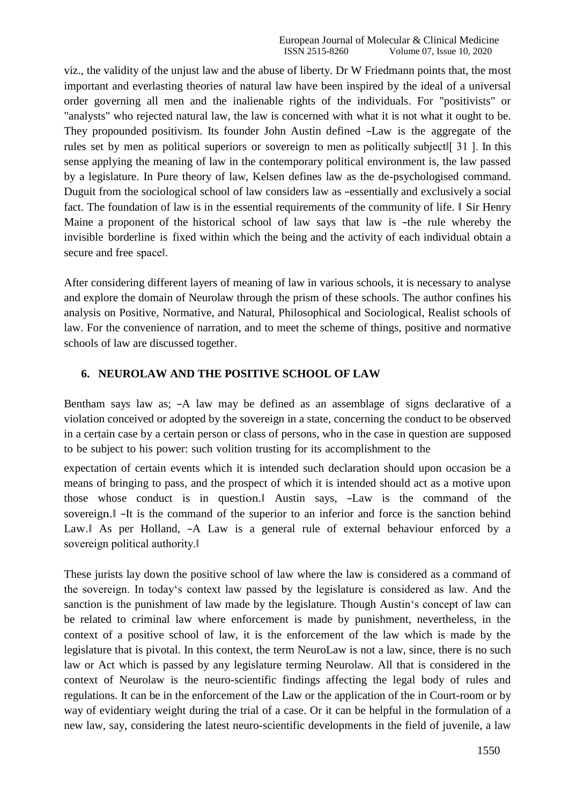viz., the validity of the unjust law and the abuse of liberty. Dr W Friedmann points that, the most important and everlasting theories of natural law have been inspired by the ideal of a universal order governing all men and the inalienable rights of the individuals. For "positivists" or "analysts" who rejected natural law, the law is concerned with what it is not what it ought to be. They propounded positivism. Its founder John Austin defined -Law is the aggregate of the rules set by men as political superiors or sovereign to men as politically subject [ 31 ]. In this sense applying the meaning of law in the contemporary political environment is, the law passed by a legislature. In Pure theory of law, Kelsen defines law as the de-psychologised command. Duguit from the sociological school of law considers law as -essentially and exclusively a social fact. The foundation of law is in the essential requirements of the community of life. ‖ Sir Henry Maine a proponent of the historical school of law says that law is -the rule whereby the invisible borderline is fixed within which the being and the activity of each individual obtain a secure and free space‖.

After considering different layers of meaning of law in various schools, it is necessary to analyse and explore the domain of Neurolaw through the prism of these schools. The author confines his analysis on Positive, Normative, and Natural, Philosophical and Sociological, Realist schools of law. For the convenience of narration, and to meet the scheme of things, positive and normative schools of law are discussed together.

#### **6. NEUROLAW AND THE POSITIVE SCHOOL OF LAW**

Bentham says law as;  $-A$  law may be defined as an assemblage of signs declarative of a violation conceived or adopted by the sovereign in a state, concerning the conduct to be observed in a certain case by a certain person or class of persons, who in the case in question are supposed to be subject to his power: such volition trusting for its accomplishment to the

expectation of certain events which it is intended such declaration should upon occasion be a means of bringing to pass, and the prospect of which it is intended should act as a motive upon those whose conduct is in question.‖ Austin says, ―Law is the command of the sovereign.  $\parallel$  –It is the command of the superior to an inferior and force is the sanction behind Law. As per Holland, -A Law is a general rule of external behaviour enforced by a sovereign political authority.‖

These jurists lay down the positive school of law where the law is considered as a command of the sovereign. In today's context law passed by the legislature is considered as law. And the sanction is the punishment of law made by the legislature. Though Austin's concept of law can be related to criminal law where enforcement is made by punishment, nevertheless, in the context of a positive school of law, it is the enforcement of the law which is made by the legislature that is pivotal. In this context, the term NeuroLaw is not a law, since, there is no such law or Act which is passed by any legislature terming Neurolaw. All that is considered in the context of Neurolaw is the neuro-scientific findings affecting the legal body of rules and regulations. It can be in the enforcement of the Law or the application of the in Court-room or by way of evidentiary weight during the trial of a case. Or it can be helpful in the formulation of a new law, say, considering the latest neuro-scientific developments in the field of juvenile, a law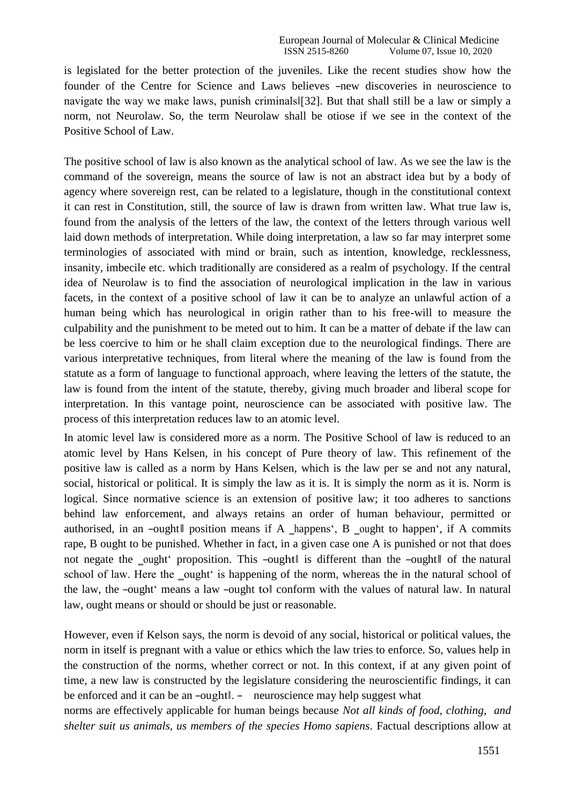is legislated for the better protection of the juveniles. Like the recent studies show how the founder of the Centre for Science and Laws believes ―new discoveries in neuroscience to navigate the way we make laws, punish criminals‖[32]. But that shall still be a law or simply a norm, not Neurolaw. So, the term Neurolaw shall be otiose if we see in the context of the Positive School of Law.

The positive school of law is also known as the analytical school of law. As we see the law is the command of the sovereign, means the source of law is not an abstract idea but by a body of agency where sovereign rest, can be related to a legislature, though in the constitutional context it can rest in Constitution, still, the source of law is drawn from written law. What true law is, found from the analysis of the letters of the law, the context of the letters through various well laid down methods of interpretation. While doing interpretation, a law so far may interpret some terminologies of associated with mind or brain, such as intention, knowledge, recklessness, insanity, imbecile etc. which traditionally are considered as a realm of psychology. If the central idea of Neurolaw is to find the association of neurological implication in the law in various facets, in the context of a positive school of law it can be to analyze an unlawful action of a human being which has neurological in origin rather than to his free-will to measure the culpability and the punishment to be meted out to him. It can be a matter of debate if the law can be less coercive to him or he shall claim exception due to the neurological findings. There are various interpretative techniques, from literal where the meaning of the law is found from the statute as a form of language to functional approach, where leaving the letters of the statute, the law is found from the intent of the statute, thereby, giving much broader and liberal scope for interpretation. In this vantage point, neuroscience can be associated with positive law. The process of this interpretation reduces law to an atomic level.

In atomic level law is considered more as a norm. The Positive School of law is reduced to an atomic level by Hans Kelsen, in his concept of Pure theory of law. This refinement of the positive law is called as a norm by Hans Kelsen, which is the law per se and not any natural, social, historical or political. It is simply the law as it is. It is simply the norm as it is. Norm is logical. Since normative science is an extension of positive law; it too adheres to sanctions behind law enforcement, and always retains an order of human behaviour, permitted or authorised, in an -ought $\parallel$  position means if A happens', B ought to happen', if A commits rape, B ought to be punished. Whether in fact, in a given case one A is punished or not that does not negate the ought' proposition. This -ought is different than the -ought of the natural school of law. Here the ought' is happening of the norm, whereas the in the natural school of the law, the -ought' means a law -ought toll conform with the values of natural law. In natural law, ought means or should or should be just or reasonable.

However, even if Kelson says, the norm is devoid of any social, historical or political values, the norm in itself is pregnant with a value or ethics which the law tries to enforce. So, values help in the construction of the norms, whether correct or not. In this context, if at any given point of time, a new law is constructed by the legislature considering the neuroscientific findings, it can be enforced and it can be an -ought|| - neuroscience may help suggest what

norms are effectively applicable for human beings because *Not all kinds of food, clothing, and shelter suit us animals, us members of the species Homo sapiens*. Factual descriptions allow at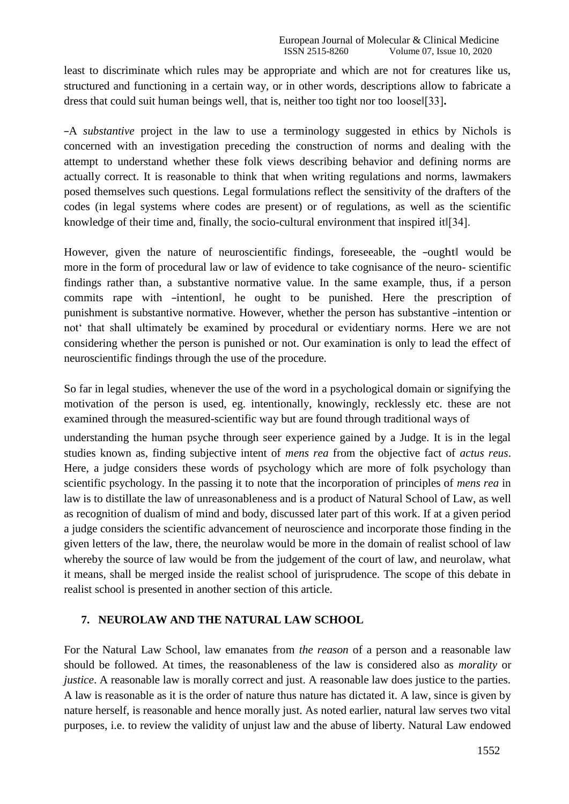least to discriminate which rules may be appropriate and which are not for creatures like us, structured and functioning in a certain way, or in other words, descriptions allow to fabricate a dress that could suit human beings well, that is, neither too tight nor too loose‖[33]**.**

―A *substantive* project in the law to use a terminology suggested in ethics by Nichols is concerned with an investigation preceding the construction of norms and dealing with the attempt to understand whether these folk views describing behavior and defining norms are actually correct. It is reasonable to think that when writing regulations and norms, lawmakers posed themselves such questions. Legal formulations reflect the sensitivity of the drafters of the codes (in legal systems where codes are present) or of regulations, as well as the scientific knowledge of their time and, finally, the socio-cultural environment that inspired it [34].

However, given the nature of neuroscientific findings, foreseeable, the -ought would be more in the form of procedural law or law of evidence to take cognisance of the neuro- scientific findings rather than, a substantive normative value. In the same example, thus, if a person commits rape with ―intention‖, he ought to be punished. Here the prescription of punishment is substantive normative. However, whether the person has substantive ―intention or not' that shall ultimately be examined by procedural or evidentiary norms. Here we are not considering whether the person is punished or not. Our examination is only to lead the effect of neuroscientific findings through the use of the procedure.

So far in legal studies, whenever the use of the word in a psychological domain or signifying the motivation of the person is used, eg. intentionally, knowingly, recklessly etc. these are not examined through the measured-scientific way but are found through traditional ways of

understanding the human psyche through seer experience gained by a Judge. It is in the legal studies known as, finding subjective intent of *mens rea* from the objective fact of *actus reus*. Here, a judge considers these words of psychology which are more of folk psychology than scientific psychology. In the passing it to note that the incorporation of principles of *mens rea* in law is to distillate the law of unreasonableness and is a product of Natural School of Law, as well as recognition of dualism of mind and body, discussed later part of this work. If at a given period a judge considers the scientific advancement of neuroscience and incorporate those finding in the given letters of the law, there, the neurolaw would be more in the domain of realist school of law whereby the source of law would be from the judgement of the court of law, and neurolaw, what it means, shall be merged inside the realist school of jurisprudence. The scope of this debate in realist school is presented in another section of this article.

# **7. NEUROLAW AND THE NATURAL LAW SCHOOL**

For the Natural Law School, law emanates from *the reason* of a person and a reasonable law should be followed. At times, the reasonableness of the law is considered also as *morality* or *justice*. A reasonable law is morally correct and just. A reasonable law does justice to the parties. A law is reasonable as it is the order of nature thus nature has dictated it. A law, since is given by nature herself, is reasonable and hence morally just. As noted earlier, natural law serves two vital purposes, i.e. to review the validity of unjust law and the abuse of liberty. Natural Law endowed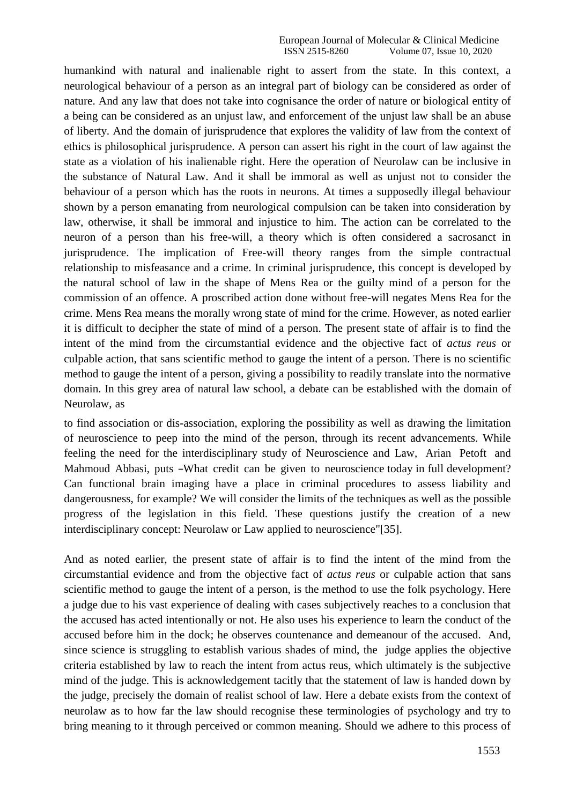humankind with natural and inalienable right to assert from the state. In this context, a neurological behaviour of a person as an integral part of biology can be considered as order of nature. And any law that does not take into cognisance the order of nature or biological entity of a being can be considered as an unjust law, and enforcement of the unjust law shall be an abuse of liberty. And the domain of jurisprudence that explores the validity of law from the context of ethics is philosophical jurisprudence. A person can assert his right in the court of law against the state as a violation of his inalienable right. Here the operation of Neurolaw can be inclusive in the substance of Natural Law. And it shall be immoral as well as unjust not to consider the behaviour of a person which has the roots in neurons. At times a supposedly illegal behaviour shown by a person emanating from neurological compulsion can be taken into consideration by law, otherwise, it shall be immoral and injustice to him. The action can be correlated to the neuron of a person than his free-will, a theory which is often considered a sacrosanct in jurisprudence. The implication of Free-will theory ranges from the simple contractual relationship to misfeasance and a crime. In criminal jurisprudence, this concept is developed by the natural school of law in the shape of Mens Rea or the guilty mind of a person for the commission of an offence. A proscribed action done without free-will negates Mens Rea for the crime. Mens Rea means the morally wrong state of mind for the crime. However, as noted earlier it is difficult to decipher the state of mind of a person. The present state of affair is to find the intent of the mind from the circumstantial evidence and the objective fact of *actus reus* or culpable action, that sans scientific method to gauge the intent of a person. There is no scientific method to gauge the intent of a person, giving a possibility to readily translate into the normative domain. In this grey area of natural law school, a debate can be established with the domain of Neurolaw, as

to find association or dis-association, exploring the possibility as well as drawing the limitation of neuroscience to peep into the mind of the person, through its recent advancements. While feeling the need for the interdisciplinary study of Neuroscience and Law, Arian Petoft and Mahmoud Abbasi, puts -What credit can be given to neuroscience today in full development? Can functional brain imaging have a place in criminal procedures to assess liability and dangerousness, for example? We will consider the limits of the techniques as well as the possible progress of the legislation in this field. These questions justify the creation of a new interdisciplinary concept: Neurolaw or Law applied to neuroscience"[35].

And as noted earlier, the present state of affair is to find the intent of the mind from the circumstantial evidence and from the objective fact of *actus reus* or culpable action that sans scientific method to gauge the intent of a person, is the method to use the folk psychology. Here a judge due to his vast experience of dealing with cases subjectively reaches to a conclusion that the accused has acted intentionally or not. He also uses his experience to learn the conduct of the accused before him in the dock; he observes countenance and demeanour of the accused. And, since science is struggling to establish various shades of mind, the judge applies the objective criteria established by law to reach the intent from actus reus, which ultimately is the subjective mind of the judge. This is acknowledgement tacitly that the statement of law is handed down by the judge, precisely the domain of realist school of law. Here a debate exists from the context of neurolaw as to how far the law should recognise these terminologies of psychology and try to bring meaning to it through perceived or common meaning. Should we adhere to this process of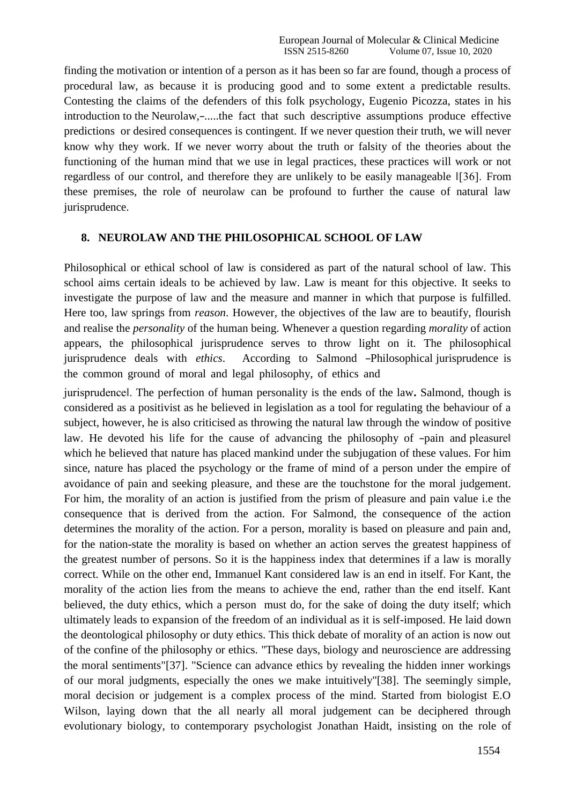finding the motivation or intention of a person as it has been so far are found, though a process of procedural law, as because it is producing good and to some extent a predictable results. Contesting the claims of the defenders of this folk psychology, Eugenio Picozza, states in his introduction to the Neurolaw,―.....the fact that such descriptive assumptions produce effective predictions or desired consequences is contingent. If we never question their truth, we will never know why they work. If we never worry about the truth or falsity of the theories about the functioning of the human mind that we use in legal practices, these practices will work or not regardless of our control, and therefore they are unlikely to be easily manageable ‖[36]. From these premises, the role of neurolaw can be profound to further the cause of natural law jurisprudence.

#### **8. NEUROLAW AND THE PHILOSOPHICAL SCHOOL OF LAW**

Philosophical or ethical school of law is considered as part of the natural school of law. This school aims certain ideals to be achieved by law. Law is meant for this objective. It seeks to investigate the purpose of law and the measure and manner in which that purpose is fulfilled. Here too, law springs from *reason*. However, the objectives of the law are to beautify, flourish and realise the *personality* of the human being. Whenever a question regarding *morality* of action appears, the philosophical jurisprudence serves to throw light on it. The philosophical jurisprudence deals with *ethics*. According to Salmond ―Philosophical jurisprudence is the common ground of moral and legal philosophy, of ethics and

jurisprudence‖. The perfection of human personality is the ends of the law**.** Salmond, though is considered as a positivist as he believed in legislation as a tool for regulating the behaviour of a subject, however, he is also criticised as throwing the natural law through the window of positive law. He devoted his life for the cause of advancing the philosophy of -pain and pleasure which he believed that nature has placed mankind under the subjugation of these values. For him since, nature has placed the psychology or the frame of mind of a person under the empire of avoidance of pain and seeking pleasure, and these are the touchstone for the moral judgement. For him, the morality of an action is justified from the prism of pleasure and pain value i.e the consequence that is derived from the action. For Salmond, the consequence of the action determines the morality of the action. For a person, morality is based on pleasure and pain and, for the nation-state the morality is based on whether an action serves the greatest happiness of the greatest number of persons. So it is the happiness index that determines if a law is morally correct. While on the other end, Immanuel Kant considered law is an end in itself. For Kant, the morality of the action lies from the means to achieve the end, rather than the end itself. Kant believed, the duty ethics, which a person must do, for the sake of doing the duty itself; which ultimately leads to expansion of the freedom of an individual as it is self-imposed. He laid down the deontological philosophy or duty ethics. This thick debate of morality of an action is now out of the confine of the philosophy or ethics. "These days, biology and neuroscience are addressing the moral sentiments"[37]. "Science can advance ethics by revealing the hidden inner workings of our moral judgments, especially the ones we make intuitively"[38]. The seemingly simple, moral decision or judgement is a complex process of the mind. Started from biologist E.O Wilson, laying down that the all nearly all moral judgement can be deciphered through evolutionary biology, to contemporary psychologist Jonathan Haidt, insisting on the role of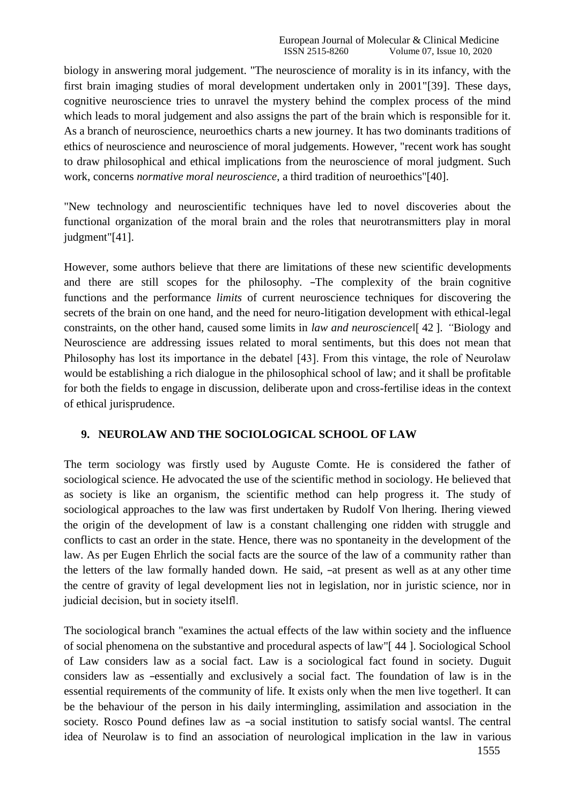biology in answering moral judgement. "The neuroscience of morality is in its infancy, with the first brain imaging studies of moral development undertaken only in 2001"[39]. These days, cognitive neuroscience tries to unravel the mystery behind the complex process of the mind which leads to moral judgement and also assigns the part of the brain which is responsible for it. As a branch of neuroscience, neuroethics charts a new journey. It has two dominants traditions of ethics of neuroscience and neuroscience of moral judgements. However, "recent work has sought to draw philosophical and ethical implications from the neuroscience of moral judgment. Such work, concerns *normative moral neuroscience*, a third tradition of neuroethics"[40].

"New technology and neuroscientific techniques have led to novel discoveries about the functional organization of the moral brain and the roles that neurotransmitters play in moral judgment"[41].

However, some authors believe that there are limitations of these new scientific developments and there are still scopes for the philosophy. ―The complexity of the brain cognitive functions and the performance *limits* of current neuroscience techniques for discovering the secrets of the brain on one hand, and the need for neuro-litigation development with ethical-legal constraints, on the other hand, caused some limits in *law and neuroscience*‖[ 42 ]. *"*Biology and Neuroscience are addressing issues related to moral sentiments, but this does not mean that Philosophy has lost its importance in the debate‖ [43]. From this vintage, the role of Neurolaw would be establishing a rich dialogue in the philosophical school of law; and it shall be profitable for both the fields to engage in discussion, deliberate upon and cross-fertilise ideas in the context of ethical jurisprudence.

# **9. NEUROLAW AND THE SOCIOLOGICAL SCHOOL OF LAW**

The term sociology was firstly used by Auguste Comte. He is considered the father of sociological science. He advocated the use of the scientific method in sociology. He believed that as society is like an organism, the scientific method can help progress it. The study of sociological approaches to the law was first undertaken by Rudolf Von lhering. Ihering viewed the origin of the development of law is a constant challenging one ridden with struggle and conflicts to cast an order in the state. Hence, there was no spontaneity in the development of the law. As per Eugen Ehrlich the social facts are the source of the law of a community rather than the letters of the law formally handed down. He said, ―at present as well as at any other time the centre of gravity of legal development lies not in legislation, nor in juristic science, nor in judicial decision, but in society itself‖.

The sociological branch "examines the actual effects of the law within society and the influence of social phenomena on the substantive and procedural aspects of law"[ 44 ]. Sociological School of Law considers law as a social fact. Law is a sociological fact found in society. Duguit considers law as ―essentially and exclusively a social fact. The foundation of law is in the essential requirements of the community of life. It exists only when the men live together‖. It can be the behaviour of the person in his daily intermingling, assimilation and association in the society. Rosco Pound defines law as  $-a$  social institution to satisfy social wants. The central idea of Neurolaw is to find an association of neurological implication in the law in various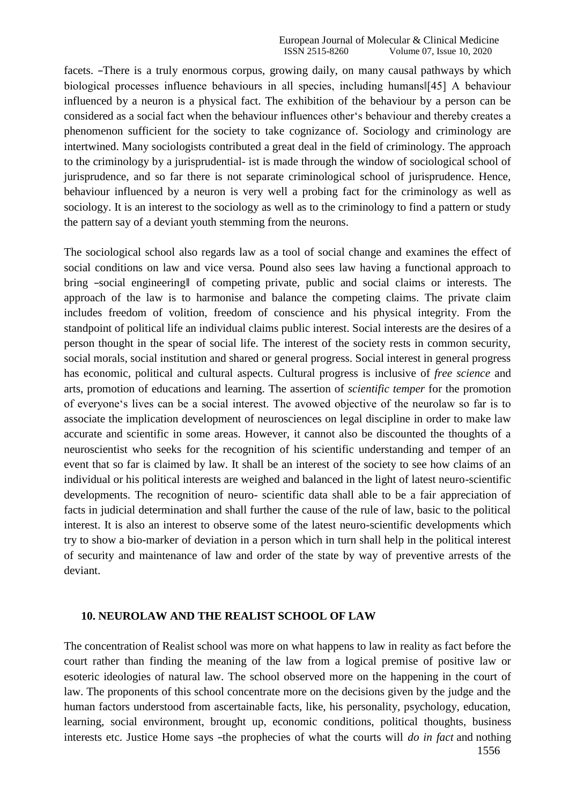facets. ―There is a truly enormous corpus, growing daily, on many causal pathways by which biological processes influence behaviours in all species, including humans‖[45] A behaviour influenced by a neuron is a physical fact. The exhibition of the behaviour by a person can be considered as a social fact when the behaviour influences other's behaviour and thereby creates a phenomenon sufficient for the society to take cognizance of. Sociology and criminology are intertwined. Many sociologists contributed a great deal in the field of criminology. The approach to the criminology by a jurisprudential- ist is made through the window of sociological school of jurisprudence, and so far there is not separate criminological school of jurisprudence. Hence, behaviour influenced by a neuron is very well a probing fact for the criminology as well as sociology. It is an interest to the sociology as well as to the criminology to find a pattern or study the pattern say of a deviant youth stemming from the neurons.

The sociological school also regards law as a tool of social change and examines the effect of social conditions on law and vice versa. Pound also sees law having a functional approach to bring ―social engineering‖ of competing private, public and social claims or interests. The approach of the law is to harmonise and balance the competing claims. The private claim includes freedom of volition, freedom of conscience and his physical integrity. From the standpoint of political life an individual claims public interest. Social interests are the desires of a person thought in the spear of social life. The interest of the society rests in common security, social morals, social institution and shared or general progress. Social interest in general progress has economic, political and cultural aspects. Cultural progress is inclusive of *free science* and arts, promotion of educations and learning. The assertion of *scientific temper* for the promotion of everyone's lives can be a social interest. The avowed objective of the neurolaw so far is to associate the implication development of neurosciences on legal discipline in order to make law accurate and scientific in some areas. However, it cannot also be discounted the thoughts of a neuroscientist who seeks for the recognition of his scientific understanding and temper of an event that so far is claimed by law. It shall be an interest of the society to see how claims of an individual or his political interests are weighed and balanced in the light of latest neuro-scientific developments. The recognition of neuro- scientific data shall able to be a fair appreciation of facts in judicial determination and shall further the cause of the rule of law, basic to the political interest. It is also an interest to observe some of the latest neuro-scientific developments which try to show a bio-marker of deviation in a person which in turn shall help in the political interest of security and maintenance of law and order of the state by way of preventive arrests of the deviant.

#### **10. NEUROLAW AND THE REALIST SCHOOL OF LAW**

The concentration of Realist school was more on what happens to law in reality as fact before the court rather than finding the meaning of the law from a logical premise of positive law or esoteric ideologies of natural law. The school observed more on the happening in the court of law. The proponents of this school concentrate more on the decisions given by the judge and the human factors understood from ascertainable facts, like, his personality, psychology, education, learning, social environment, brought up, economic conditions, political thoughts, business interests etc. Justice Home says ―the prophecies of what the courts will *do in fact* and nothing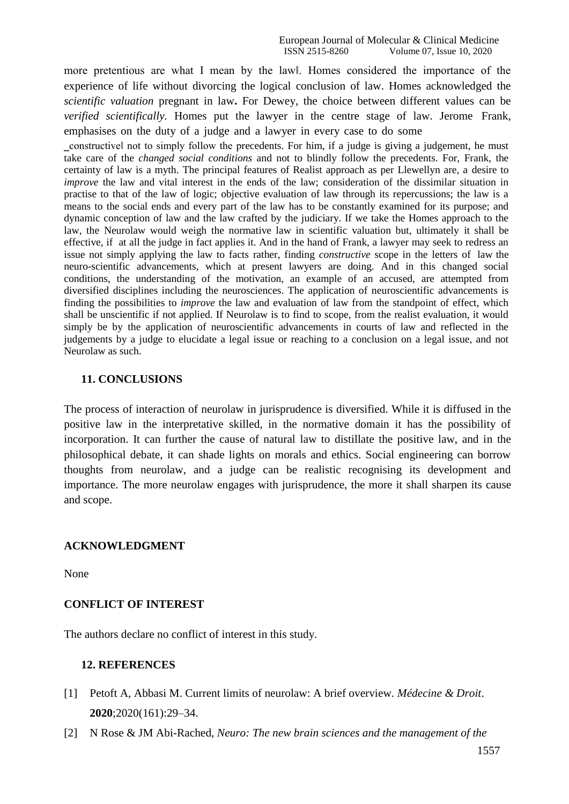more pretentious are what I mean by the law‖. Homes considered the importance of the experience of life without divorcing the logical conclusion of law. Homes acknowledged the *scientific valuation* pregnant in law**.** For Dewey, the choice between different values can be *verified scientifically.* Homes put the lawyer in the centre stage of law. Jerome Frank, emphasises on the duty of a judge and a lawyer in every case to do some

‗constructive‖ not to simply follow the precedents. For him, if a judge is giving a judgement, he must take care of the *changed social conditions* and not to blindly follow the precedents. For, Frank, the certainty of law is a myth. The principal features of Realist approach as per Llewellyn are, a desire to *improve* the law and vital interest in the ends of the law; consideration of the dissimilar situation in practise to that of the law of logic; objective evaluation of law through its repercussions; the law is a means to the social ends and every part of the law has to be constantly examined for its purpose; and dynamic conception of law and the law crafted by the judiciary. If we take the Homes approach to the law, the Neurolaw would weigh the normative law in scientific valuation but, ultimately it shall be effective, if at all the judge in fact applies it. And in the hand of Frank, a lawyer may seek to redress an issue not simply applying the law to facts rather, finding *constructive* scope in the letters of law the neuro-scientific advancements, which at present lawyers are doing. And in this changed social conditions, the understanding of the motivation, an example of an accused, are attempted from diversified disciplines including the neurosciences. The application of neuroscientific advancements is finding the possibilities to *improve* the law and evaluation of law from the standpoint of effect, which shall be unscientific if not applied. If Neurolaw is to find to scope, from the realist evaluation, it would simply be by the application of neuroscientific advancements in courts of law and reflected in the judgements by a judge to elucidate a legal issue or reaching to a conclusion on a legal issue, and not Neurolaw as such.

#### **11. CONCLUSIONS**

The process of interaction of neurolaw in jurisprudence is diversified. While it is diffused in the positive law in the interpretative skilled, in the normative domain it has the possibility of incorporation. It can further the cause of natural law to distillate the positive law, and in the philosophical debate, it can shade lights on morals and ethics. Social engineering can borrow thoughts from neurolaw, and a judge can be realistic recognising its development and importance. The more neurolaw engages with jurisprudence, the more it shall sharpen its cause and scope.

#### **ACKNOWLEDGMENT**

None

# **CONFLICT OF INTEREST**

The authors declare no conflict of interest in this study.

#### **12. REFERENCES**

- [1] Petoft A, Abbasi M. Current limits of neurolaw: A brief overview. *Médecine & Droit*. **2020**;2020(161):29–34.
- [2] N Rose & JM Abi-Rached, *Neuro: The new brain sciences and the management of the*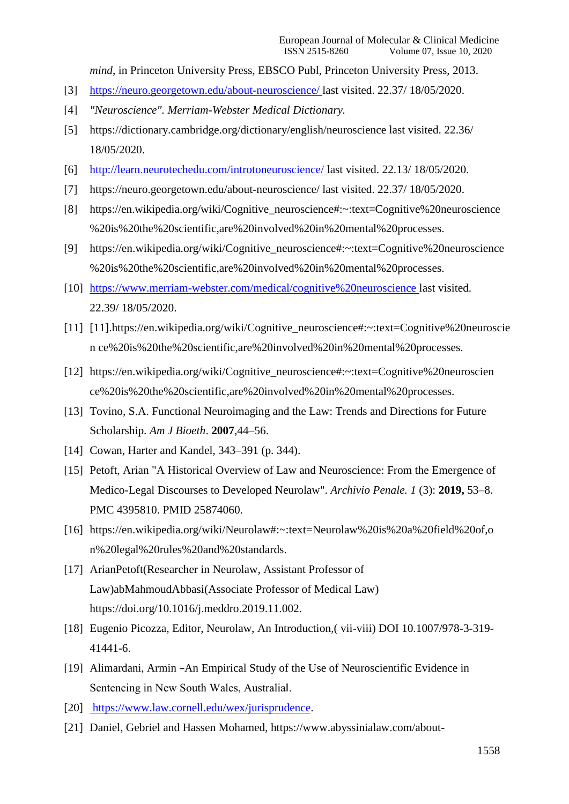*mind*, in Princeton University Press, EBSCO Publ, Princeton University Press, 2013.

- [3] [https://neuro.georgetown.edu/about-neuroscience/ l](https://neuro.georgetown.edu/about-neuroscience/)ast visited. 22.37/ 18/05/2020.
- [4] *["Neuroscience".](http://www.merriam-webster.com/medlineplus/neuroscience) Merriam-Webster Medical Dictionary.*
- [5] [https://dictionary.cambridge.org/dictionary/english/neuroscience last visited. 22.36/](https://dictionary.cambridge.org/dictionary/english/neuroscience%20last%20visited.%20%2022.36/) 18/05/2020.
- [6] [http://learn.neurotechedu.com/introtoneuroscience/ l](http://learn.neurotechedu.com/introtoneuroscience/)ast visited. 22.13/ 18/05/2020.
- [7] [https://neuro.georgetown.edu/about-neuroscience/ l](https://neuro.georgetown.edu/about-neuroscience/)ast visited. 22.37/ 18/05/2020.
- [8] [https://en.wikipedia.org/wiki/Cognitive\\_neuroscience#:~:text=Cognitive%20neuroscience](https://en.wikipedia.org/wiki/Cognitive_neuroscience#%3A~%3Atext%3DCognitive%20neuroscience%20is%20the%20scientific%2Care%20involved%20in%20mental%20processes) [%20is%20the%20scientific,are%20involved%20in%20mental%20processes.](https://en.wikipedia.org/wiki/Cognitive_neuroscience#%3A~%3Atext%3DCognitive%20neuroscience%20is%20the%20scientific%2Care%20involved%20in%20mental%20processes)
- [9] [https://en.wikipedia.org/wiki/Cognitive\\_neuroscience#:~:text=Cognitive%20neuroscience](https://en.wikipedia.org/wiki/Cognitive_neuroscience#%3A~%3Atext%3DCognitive%20neuroscience%20is%20the%20scientific%2Care%20involved%20in%20mental%20processes) [%20is%20the%20scientific,are%20involved%20in%20mental%20processes.](https://en.wikipedia.org/wiki/Cognitive_neuroscience#%3A~%3Atext%3DCognitive%20neuroscience%20is%20the%20scientific%2Care%20involved%20in%20mental%20processes)
- [10] [https://www.merriam-webster.com/medical/cognitive%20neuroscience l](https://www.merriam-webster.com/medical/cognitive%20neuroscience)ast visited. 22.39/ 18/05/2020.
- [11] [11[\].https://en.wikipedia.org/wiki/Cognitive\\_neuroscience#:~:text=Cognitive%20neuroscie](https://en.wikipedia.org/wiki/Cognitive_neuroscience#%3A~%3Atext%3DCognitive%20neuroscience%20is%20the%20scientific%2Care%20involved%20in%20mental%20processes) [n](https://en.wikipedia.org/wiki/Cognitive_neuroscience#%3A~%3Atext%3DCognitive%20neuroscience%20is%20the%20scientific%2Care%20involved%20in%20mental%20processes) [ce%20is%20the%20scientific,are%20involved%20in%20mental%20processes.](https://en.wikipedia.org/wiki/Cognitive_neuroscience#%3A~%3Atext%3DCognitive%20neuroscience%20is%20the%20scientific%2Care%20involved%20in%20mental%20processes)
- [12] https://en.wikipedia.org/wiki/Cognitive\_neuroscience#:~:text=Cognitive%20neuroscien ce%20is%20the%20scientific,are%20involved%20in%20mental%20processes.
- [13] Tovino, S.A. Functional Neuroimaging and the Law: Trends and Directions for Future Scholarship. *Am J Bioeth*. **2007**,44–56.
- [14] Cowan, Harter and Kandel, 343–391 (p. 344).
- [15] Petoft, Arian "A Historical Overview of Law and Neuroscience: From the Emergence of Medico-Legal Discourses to Developed Neurolaw". *Archivio Penale. 1* (3): **2019,** 53–8. PMC 4395810. PMID 25874060.
- [16] https://en.wikipedia.org/wiki/Neurolaw#:~:text=Neurolaw%20is%20a%20field%20of,o n%20legal%20rules%20and%20standards.
- [17] [ArianPetoft\(Researcher in Neurolaw, Assistant Professor of](https://www.sciencedirect.com/science/article/pii/S1246739119301022#!) [Law\)abMahmoudAbbasi\(Associate Professor of Medical Law\)](https://www.sciencedirect.com/science/article/pii/S1246739119301022#!) [https://doi.org/10.1016/j.meddro.2019.11.002.](https://doi.org/10.1016/j.meddro.2019.11.002)
- [18] Eugenio Picozza, Editor, Neurolaw, An Introduction,( vii-viii) DOI 10.1007/978-3-319- 41441-6.
- [19] Alimardani, Armin An Empirical Study of the Use of Neuroscientific Evidence in Sentencing in New South Wales, Australia‖.
- [20] [https://www.law.cornell.edu/wex/jurisprudence.](https://www.law.cornell.edu/wex/jurisprudence)
- [21] Daniel, Gebriel and Hassen Moh[amed, https://www.abyssinialaw.com/about-](https://www.abyssinialaw.com/about-us/item/1075-what-is-jurisprudence)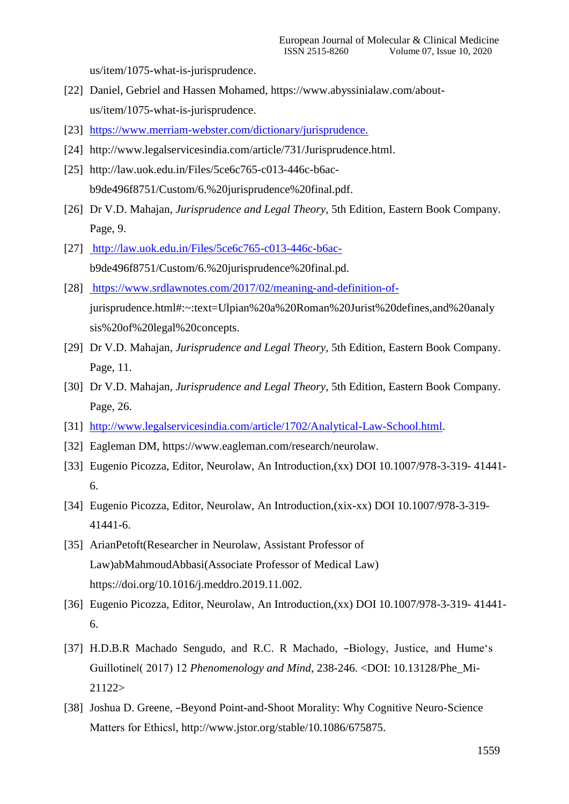[us/item/1075-what-is-jurisprudence.](https://www.abyssinialaw.com/about-us/item/1075-what-is-jurisprudence)

- [22] Daniel, Gebriel and Hassen Moh[amed, https://www.abyssinialaw.com/about](https://www.abyssinialaw.com/about-us/item/1075-what-is-jurisprudence)[us/item/1075-what-is-jurisprudence.](https://www.abyssinialaw.com/about-us/item/1075-what-is-jurisprudence)
- [23] <https://www.merriam-webster.com/dictionary/jurisprudence.>
- [24] [http://www.legalservicesindia.com/article/731/Jurisprudence.html.](http://www.legalservicesindia.com/article/731/Jurisprudence.html)
- [25] [http://law.uok.edu.in/Files/5ce6c765-c013-446c-b6ac](http://law.uok.edu.in/Files/5ce6c765-c013-446c-b6ac-b9de496f8751/Custom/6.%20jurisprudence%20final.pdf)[b9de496f8751/Custom/6.%20jurisprudence%20final.pdf.](http://law.uok.edu.in/Files/5ce6c765-c013-446c-b6ac-b9de496f8751/Custom/6.%20jurisprudence%20final.pdf)
- [26] Dr V.D. Mahajan, *Jurisprudence and Legal Theory,* 5th Edition, Eastern Book Company. Page, 9.
- [27] [http://law.uok.edu.in/Files/5ce6c765-c013-446c-b6ac](http://law.uok.edu.in/Files/5ce6c765-c013-446c-b6ac-)b9de496f8751/Custom/6.%20jurisprudence%20final.pd.
- [28] [https://www.srdlawnotes.com/2017/02/meaning-and-definition-of](https://www.srdlawnotes.com/2017/02/meaning-and-definition-of-)[jurisprudence.html#:~:text=Ulpian%20a%20Roman%20Jurist%20defines,and%20analy](https://www.srdlawnotes.com/2017/02/meaning-and-definition-of-jurisprudence.html#%3A~%3Atext%3DUlpian%20a%20Roman%20Jurist%20defines%2Cand%20analysis%20of%20legal%20concepts) [sis%20of%20legal%20concepts.](https://www.srdlawnotes.com/2017/02/meaning-and-definition-of-jurisprudence.html#%3A~%3Atext%3DUlpian%20a%20Roman%20Jurist%20defines%2Cand%20analysis%20of%20legal%20concepts)
- [29] Dr V.D. Mahajan, *Jurisprudence and Legal Theory,* 5th Edition, Eastern Book Company. Page, 11.
- [30] Dr V.D. Mahajan, *Jurisprudence and Legal Theory,* 5th Edition, Eastern Book Company. Page, 26.
- [31] [http://www.legalservicesindia.com/article/1702/Analytical-Law-School.html.](http://www.legalservicesindia.com/article/1702/Analytical-Law-School.html)
- [32] Eagleman DM, [https://www.eagleman.com/research/neurolaw.](https://www.eagleman.com/research/neurolaw)
- [33] Eugenio Picozza, Editor, Neurolaw, An Introduction,(xx) DOI 10.1007/978-3-319- 41441- 6.
- [34] Eugenio Picozza, Editor, Neurolaw, An Introduction,(xix-xx) DOI 10.1007/978-3-319- 41441-6.
- [35] [ArianPetoft\(Researcher in Neurolaw, Assistant Professor of](https://www.sciencedirect.com/science/article/pii/S1246739119301022#!) [Law\)abMahmoudAbbasi\(Associate Professor of Medical Law\)](https://www.sciencedirect.com/science/article/pii/S1246739119301022#!) [https://doi.org/10.1016/j.meddro.2019.11.002.](https://doi.org/10.1016/j.meddro.2019.11.002)
- [36] Eugenio Picozza, Editor, Neurolaw, An Introduction,(xx) DOI 10.1007/978-3-319- 41441- 6.
- [37] H.D.B.R Machado Sengudo, and R.C. R Machado, -Biology, Justice, and Hume's Guillotine‖( 2017) 12 *Phenomenology and Mind*, 238-246. <DOI: 10.13128/Phe\_Mi-21122>
- [38] Joshua D. Greene, ―Beyond Point-and-Shoot Morality: Why Cognitive Neuro-Science Matters for Ethics[‖, http://www.jstor.org/stable/10.1086/675875.](http://www.jstor.org/stable/10.1086/675875)